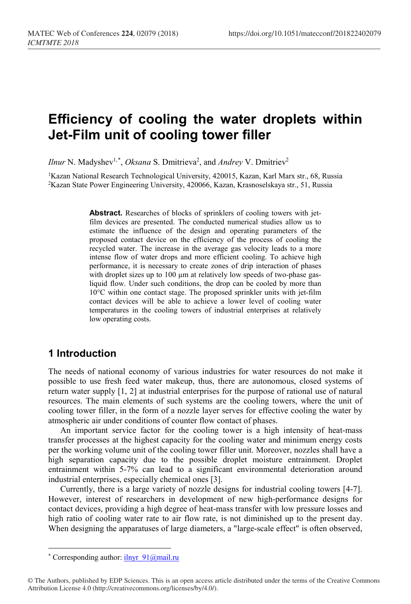# **Efficiency of cooling the water droplets within Jet-Film unit of cooling tower filler**

*Ilnur* N. Madyshev<sup>1,[\\*](#page-0-0)</sup>, *Oksana* S. Dmitrieva<sup>2</sup>, and *Andrey* V. Dmitriev<sup>2</sup>

<sup>1</sup>Kazan National Research Technological University, 420015, Kazan, Karl Marx str., 68, Russia 2Kazan State Power Engineering University, 420066, Kazan, Krasnoselskaya str., 51, Russia

> **Abstract.** Researches of blocks of sprinklers of cooling towers with jetfilm devices are presented. The conducted numerical studies allow us to estimate the influence of the design and operating parameters of the proposed contact device on the efficiency of the process of cooling the recycled water. The increase in the average gas velocity leads to a more intense flow of water drops and more efficient cooling. To achieve high performance, it is necessary to create zones of drip interaction of phases with droplet sizes up to 100 µm at relatively low speeds of two-phase gasliquid flow. Under such conditions, the drop can be cooled by more than 10°C within one contact stage. The proposed sprinkler units with jet-film contact devices will be able to achieve a lower level of cooling water temperatures in the cooling towers of industrial enterprises at relatively low operating costs.

# **1 Introduction**

The needs of national economy of various industries for water resources do not make it possible to use fresh feed water makeup, thus, there are autonomous, closed systems of return water supply [1, 2] at industrial enterprises for the purpose of rational use of natural resources. The main elements of such systems are the cooling towers, where the unit of cooling tower filler, in the form of a nozzle layer serves for effective cooling the water by atmospheric air under conditions of counter flow contact of phases.

An important service factor for the cooling tower is a high intensity of heat-mass transfer processes at the highest capacity for the cooling water and minimum energy costs per the working volume unit of the cooling tower filler unit. Moreover, nozzles shall have a high separation capacity due to the possible droplet moisture entrainment. Droplet entrainment within 5-7% can lead to a significant environmental deterioration around industrial enterprises, especially chemical ones [3].

Currently, there is a large variety of nozzle designs for industrial cooling towers [4-7]. However, interest of researchers in development of new high-performance designs for contact devices, providing a high degree of heat-mass transfer with low pressure losses and high ratio of cooling water rate to air flow rate, is not diminished up to the present day. When designing the apparatuses of large diameters, a "large-scale effect" is often observed,

l

<sup>\*</sup> Corresponding author:  $i$ lnyr  $91@$ mail.ru

<span id="page-0-0"></span><sup>©</sup> The Authors, published by EDP Sciences. This is an open access article distributed under the terms of the Creative Commons Attribution License 4.0 (http://creativecommons.org/licenses/by/4.0/).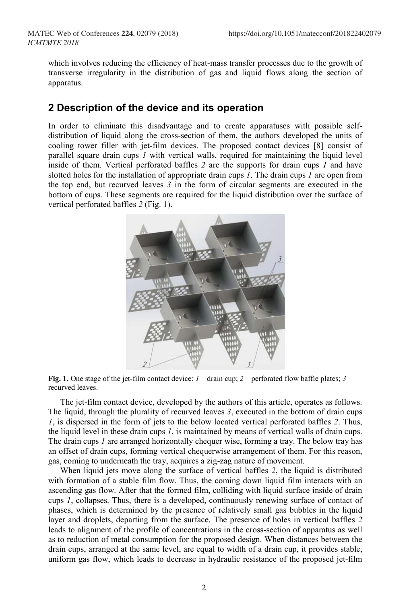which involves reducing the efficiency of heat-mass transfer processes due to the growth of transverse irregularity in the distribution of gas and liquid flows along the section of apparatus.

## **2 Description of the device and its operation**

In order to eliminate this disadvantage and to create apparatuses with possible selfdistribution of liquid along the cross-section of them, the authors developed the units of cooling tower filler with jet-film devices. The proposed contact devices [8] consist of parallel square drain cups *1* with vertical walls, required for maintaining the liquid level inside of them. Vertical perforated baffles *2* are the supports for drain cups *1* and have slotted holes for the installation of appropriate drain cups *1*. The drain cups *1* are open from the top end, but recurved leaves *3* in the form of circular segments are executed in the bottom of cups. These segments are required for the liquid distribution over the surface of vertical perforated baffles *2* (Fig. 1).



**Fig. 1.** One stage of the jet-film contact device: *1* – drain cup; *2* – perforated flow baffle plates; *3* – recurved leaves.

The jet-film contact device, developed by the authors of this article, operates as follows. The liquid, through the plurality of recurved leaves *3*, executed in the bottom of drain cups *1*, is dispersed in the form of jets to the below located vertical perforated baffles *2*. Thus, the liquid level in these drain cups *1*, is maintained by means of vertical walls of drain cups. The drain cups *1* are arranged horizontally chequer wise, forming a tray. The below tray has an offset of drain cups, forming vertical chequerwise arrangement of them. For this reason, gas, coming to underneath the tray, acquires a zig-zag nature of movement.

When liquid jets move along the surface of vertical baffles *2*, the liquid is distributed with formation of a stable film flow. Thus, the coming down liquid film interacts with an ascending gas flow. After that the formed film, colliding with liquid surface inside of drain cups *1*, collapses. Thus, there is a developed, continuously renewing surface of contact of phases, which is determined by the presence of relatively small gas bubbles in the liquid layer and droplets, departing from the surface. The presence of holes in vertical baffles *2* leads to alignment of the profile of concentrations in the cross-section of apparatus as well as to reduction of metal consumption for the proposed design. When distances between the drain cups, arranged at the same level, are equal to width of a drain cup, it provides stable, uniform gas flow, which leads to decrease in hydraulic resistance of the proposed jet-film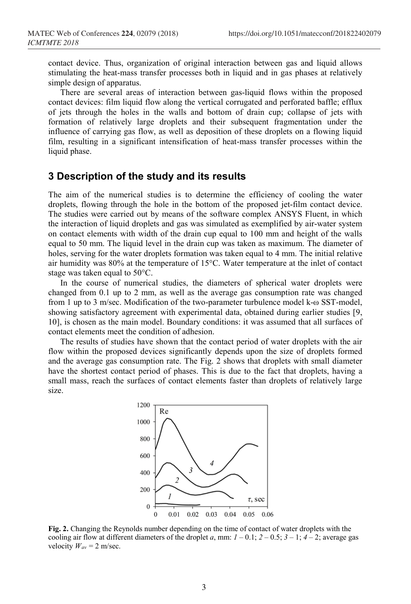contact device. Thus, organization of original interaction between gas and liquid allows stimulating the heat-mass transfer processes both in liquid and in gas phases at relatively simple design of apparatus.

There are several areas of interaction between gas-liquid flows within the proposed contact devices: film liquid flow along the vertical corrugated and perforated baffle; efflux of jets through the holes in the walls and bottom of drain cup; collapse of jets with formation of relatively large droplets and their subsequent fragmentation under the influence of carrying gas flow, as well as deposition of these droplets on a flowing liquid film, resulting in a significant intensification of heat-mass transfer processes within the liquid phase.

## **3 Description of the study and its results**

The aim of the numerical studies is to determine the efficiency of cooling the water droplets, flowing through the hole in the bottom of the proposed jet-film contact device. The studies were carried out by means of the software complex ANSYS Fluent, in which the interaction of liquid droplets and gas was simulated as exemplified by air-water system on contact elements with width of the drain cup equal to 100 mm and height of the walls equal to 50 mm. The liquid level in the drain cup was taken as maximum. The diameter of holes, serving for the water droplets formation was taken equal to 4 mm. The initial relative air humidity was 80% at the temperature of 15°C. Water temperature at the inlet of contact stage was taken equal to 50°C.

In the course of numerical studies, the diameters of spherical water droplets were changed from 0.1 up to 2 mm, as well as the average gas consumption rate was changed from 1 up to 3 m/sec. Modification of the two-parameter turbulence model k-ω SST-model, showing satisfactory agreement with experimental data, obtained during earlier studies [9, 10], is chosen as the main model. Boundary conditions: it was assumed that all surfaces of contact elements meet the condition of adhesion.

The results of studies have shown that the contact period of water droplets with the air flow within the proposed devices significantly depends upon the size of droplets formed and the average gas consumption rate. The Fig. 2 shows that droplets with small diameter have the shortest contact period of phases. This is due to the fact that droplets, having a small mass, reach the surfaces of contact elements faster than droplets of relatively large size.



**Fig. 2.** Changing the Reynolds number depending on the time of contact of water droplets with the cooling air flow at different diameters of the droplet *a*, mm:  $I - 0.1$ ;  $2 - 0.5$ ;  $3 - 1$ ;  $4 - 2$ ; average gas velocity  $W_{av} = 2$  m/sec.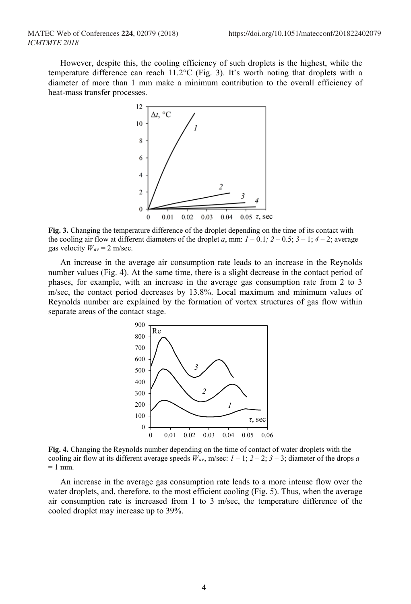However, despite this, the cooling efficiency of such droplets is the highest, while the temperature difference can reach 11.2°C (Fig. 3). It's worth noting that droplets with a diameter of more than 1 mm make a minimum contribution to the overall efficiency of heat-mass transfer processes.



**Fig. 3.** Changing the temperature difference of the droplet depending on the time of its contact with the cooling air flow at different diameters of the droplet *a*, mm:  $1 - 0.1$ ;  $2 - 0.5$ ;  $3 - 1$ ;  $4 - 2$ ; average gas velocity  $W_{av} = 2$  m/sec.

An increase in the average air consumption rate leads to an increase in the Reynolds number values (Fig. 4). At the same time, there is a slight decrease in the contact period of phases, for example, with an increase in the average gas consumption rate from 2 to 3 m/sec, the contact period decreases by 13.8%. Local maximum and minimum values of Reynolds number are explained by the formation of vortex structures of gas flow within separate areas of the contact stage.



**Fig. 4.** Changing the Reynolds number depending on the time of contact of water droplets with the cooling air flow at its different average speeds  $W_{av}$ , m/sec:  $1 - 1$ ;  $2 - 2$ ;  $3 - 3$ ; diameter of the drops *a*  $= 1$  mm.

An increase in the average gas consumption rate leads to a more intense flow over the water droplets, and, therefore, to the most efficient cooling (Fig. 5). Thus, when the average air consumption rate is increased from 1 to 3 m/sec, the temperature difference of the cooled droplet may increase up to 39%.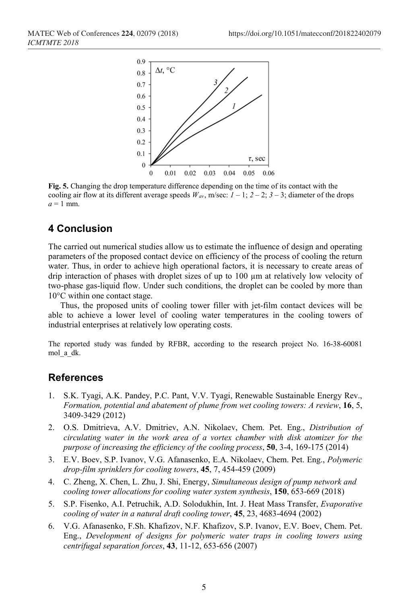

**Fig. 5.** Changing the drop temperature difference depending on the time of its contact with the cooling air flow at its different average speeds  $W_{av}$ , m/sec:  $1 - 1$ ;  $2 - 2$ ;  $3 - 3$ ; diameter of the drops  $a = 1$  mm.

#### **4 Conclusion**

The carried out numerical studies allow us to estimate the influence of design and operating parameters of the proposed contact device on efficiency of the process of cooling the return water. Thus, in order to achieve high operational factors, it is necessary to create areas of drip interaction of phases with droplet sizes of up to 100 µm at relatively low velocity of two-phase gas-liquid flow. Under such conditions, the droplet can be cooled by more than 10°C within one contact stage.

Thus, the proposed units of cooling tower filler with jet-film contact devices will be able to achieve a lower level of cooling water temperatures in the cooling towers of industrial enterprises at relatively low operating costs.

The reported study was funded by RFBR, according to the research project No. 16-38-60081 mol\_a\_dk.

#### **References**

- 1. S.K. Tyagi, A.K. Pandey, P.C. Pant, V.V. Tyagi, Renewable Sustainable Energy Rev., *Formation, potential and abatement of plume from wet cooling towers: A review*, **16**, 5, 3409-3429 (2012)
- 2. O.S. Dmitrieva, A.V. Dmitriev, A.N. Nikolaev, Chem. Pet. Eng., *Distribution of circulating water in the work area of a vortex chamber with disk atomizer for the purpose of increasing the efficiency of the cooling process*, **50**, 3-4, 169-175 (2014)
- 3. E.V. Boev, S.P. Ivanov, V.G. Afanasenko, E.A. Nikolaev, Chem. Pet. Eng., *Polymeric drop-film sprinklers for cooling towers*, **45**, 7, 454-459 (2009)
- 4. C. Zheng, X. Chen, L. Zhu, J. Shi, Energy, *Simultaneous design of pump network and cooling tower allocations for cooling water system synthesis*, **150**, 653-669 (2018)
- 5. S.P. Fisenko, A.I. Petruchik, A.D. Solodukhin, Int. J. Heat Mass Transfer, *Evaporative cooling of water in a natural draft cooling tower*, **45**, 23, 4683-4694 (2002)
- 6. V.G. Afanasenko, F.Sh. Khafizov, N.F. Khafizov, S.P. Ivanov, E.V. Boev, Chem. Pet. Eng., *Development of designs for polymeric water traps in cooling towers using centrifugal separation forces*, **43**, 11-12, 653-656 (2007)